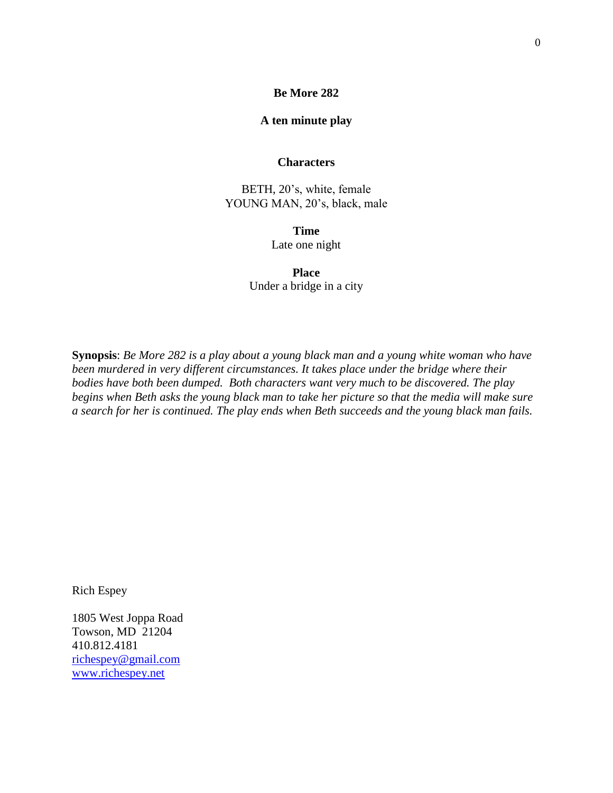## **Be More 282**

## **A ten minute play**

## **Characters**

BETH, 20's, white, female YOUNG MAN, 20's, black, male

> **Time** Late one night

**Place** Under a bridge in a city

**Synopsis**: *Be More 282 is a play about a young black man and a young white woman who have been murdered in very different circumstances. It takes place under the bridge where their bodies have both been dumped. Both characters want very much to be discovered. The play begins when Beth asks the young black man to take her picture so that the media will make sure a search for her is continued. The play ends when Beth succeeds and the young black man fails.*

Rich Espey

1805 West Joppa Road Towson, MD 21204 410.812.4181 [richespey@gmail.com](mailto:richespey@gmail.com) [www.richespey.net](http://www.richespey.net/)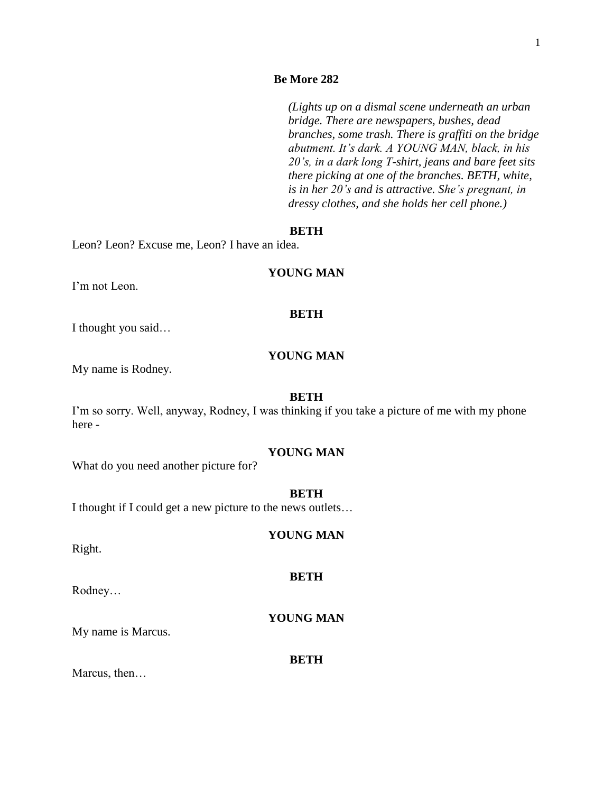## **Be More 282**

*(Lights up on a dismal scene underneath an urban bridge. There are newspapers, bushes, dead branches, some trash. There is graffiti on the bridge abutment. It's dark. A YOUNG MAN, black, in his 20's, in a dark long T-shirt, jeans and bare feet sits there picking at one of the branches. BETH, white, is in her 20's and is attractive. She's pregnant, in dressy clothes, and she holds her cell phone.)*

## **BETH**

Leon? Leon? Excuse me, Leon? I have an idea.

#### **YOUNG MAN**

I'm not Leon.

## **BETH**

I thought you said…

## **YOUNG MAN**

My name is Rodney.

#### **BETH**

I'm so sorry. Well, anyway, Rodney, I was thinking if you take a picture of me with my phone here -

## **YOUNG MAN**

What do you need another picture for?

#### **BETH**

I thought if I could get a new picture to the news outlets…

# **YOUNG MAN**

**BETH**

## Right.

Rodney…

# **YOUNG MAN**

My name is Marcus.

#### **BETH**

Marcus, then…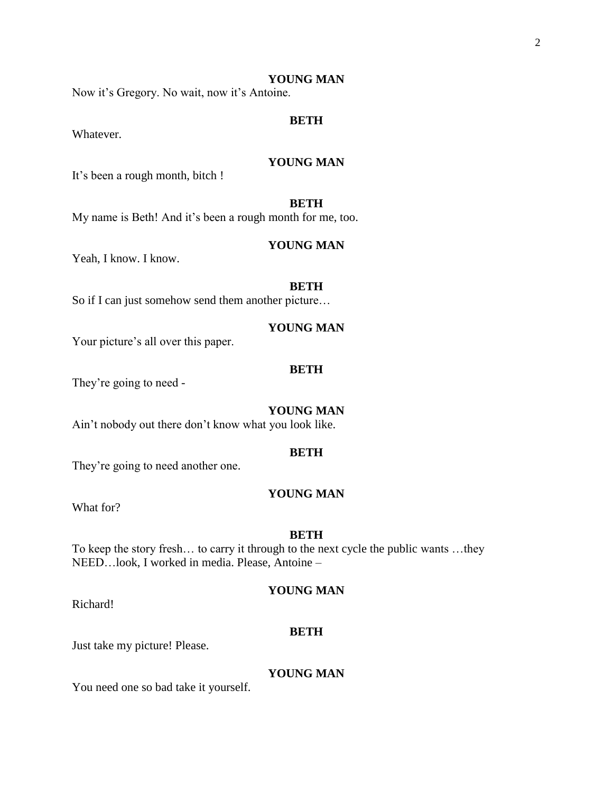Now it's Gregory. No wait, now it's Antoine.

# **BETH**

Whatever.

## **YOUNG MAN**

It's been a rough month, bitch !

## **BETH**

My name is Beth! And it's been a rough month for me, too.

## **YOUNG MAN**

Yeah, I know. I know.

## **BETH**

So if I can just somehow send them another picture…

#### **YOUNG MAN**

Your picture's all over this paper.

## **BETH**

They're going to need -

#### **YOUNG MAN**

Ain't nobody out there don't know what you look like.

#### **BETH**

They're going to need another one.

## **YOUNG MAN**

What for?

## **BETH**

To keep the story fresh… to carry it through to the next cycle the public wants …they NEED…look, I worked in media. Please, Antoine –

## **YOUNG MAN**

Richard!

#### **BETH**

Just take my picture! Please.

## **YOUNG MAN**

You need one so bad take it yourself.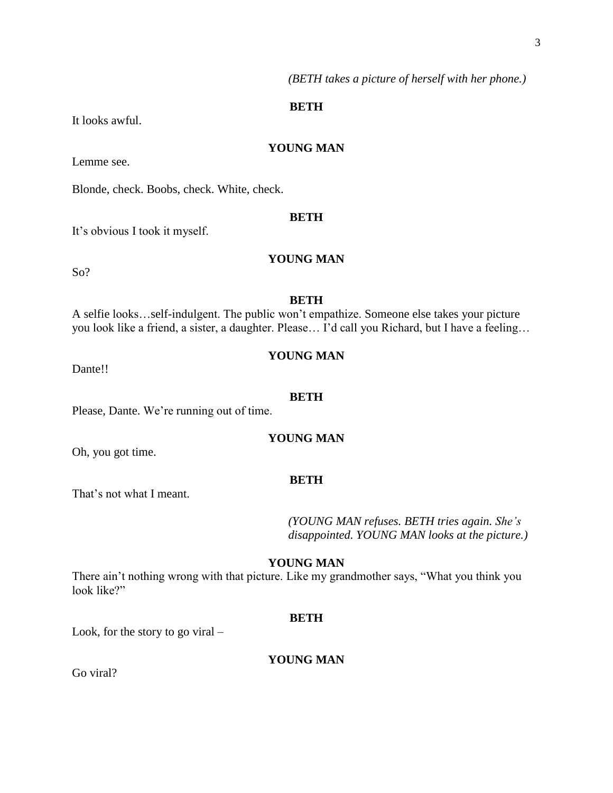*(BETH takes a picture of herself with her phone.)*

## **BETH**

It looks awful.

# **YOUNG MAN**

Lemme see.

Blonde, check. Boobs, check. White, check.

## **BETH**

It's obvious I took it myself.

# **YOUNG MAN**

So?

## **BETH**

A selfie looks…self-indulgent. The public won't empathize. Someone else takes your picture you look like a friend, a sister, a daughter. Please… I'd call you Richard, but I have a feeling…

# **YOUNG MAN**

Dante!!

#### **BETH**

Please, Dante. We're running out of time.

## **YOUNG MAN**

Oh, you got time.

## **BETH**

That's not what I meant.

*(YOUNG MAN refuses. BETH tries again. She's disappointed. YOUNG MAN looks at the picture.)*

## **YOUNG MAN**

There ain't nothing wrong with that picture. Like my grandmother says, "What you think you look like?"

## **BETH**

Look, for the story to go viral –

# **YOUNG MAN**

Go viral?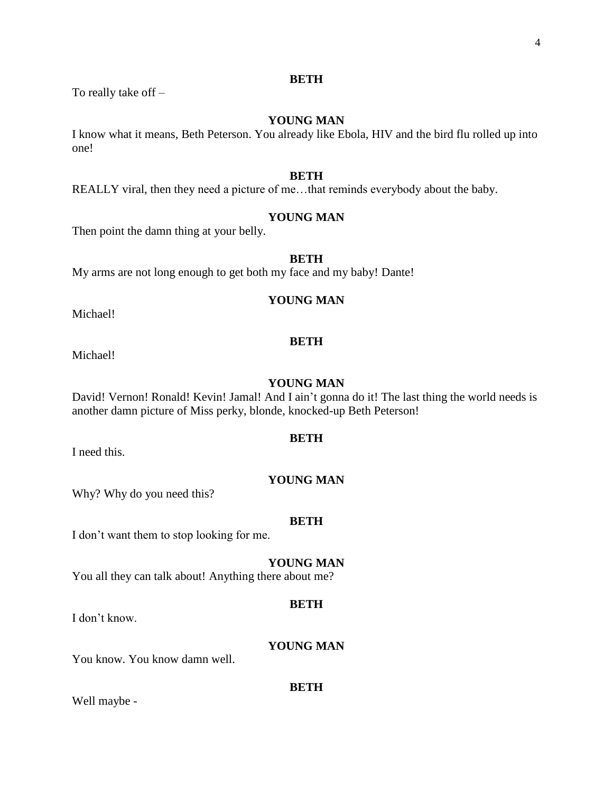# **BETH**

To really take off –

## **YOUNG MAN**

I know what it means, Beth Peterson. You already like Ebola, HIV and the bird flu rolled up into one!

## **BETH**

REALLY viral, then they need a picture of me…that reminds everybody about the baby.

## **YOUNG MAN**

Then point the damn thing at your belly.

## **BETH**

My arms are not long enough to get both my face and my baby! Dante!

## **YOUNG MAN**

Michael!

### **BETH**

Michael!

#### **YOUNG MAN**

David! Vernon! Ronald! Kevin! Jamal! And I ain't gonna do it! The last thing the world needs is another damn picture of Miss perky, blonde, knocked-up Beth Peterson!

#### **BETH**

I need this.

## **YOUNG MAN**

Why? Why do you need this?

#### **BETH**

I don't want them to stop looking for me.

## **YOUNG MAN**

You all they can talk about! Anything there about me?

#### **BETH**

I don't know.

## **YOUNG MAN**

You know. You know damn well.

#### **BETH**

Well maybe -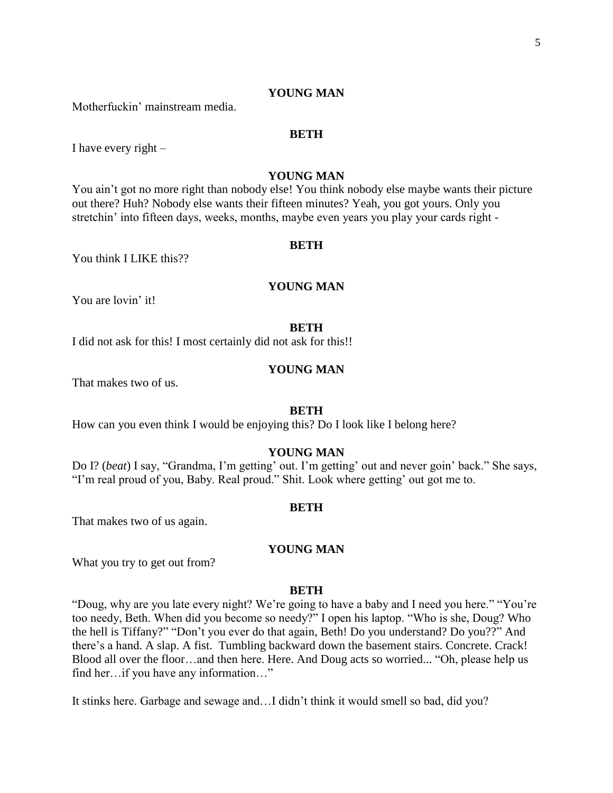Motherfuckin' mainstream media.

#### **BETH**

I have every right  $-$ 

# **YOUNG MAN**

You ain't got no more right than nobody else! You think nobody else maybe wants their picture out there? Huh? Nobody else wants their fifteen minutes? Yeah, you got yours. Only you stretchin' into fifteen days, weeks, months, maybe even years you play your cards right -

#### **BETH**

You think I LIKE this??

## **YOUNG MAN**

You are lovin' it!

#### **BETH**

I did not ask for this! I most certainly did not ask for this!!

## **YOUNG MAN**

That makes two of us.

## **BETH**

How can you even think I would be enjoying this? Do I look like I belong here?

#### **YOUNG MAN**

Do I? (*beat*) I say, "Grandma, I'm getting' out. I'm getting' out and never goin' back." She says, "I'm real proud of you, Baby. Real proud." Shit. Look where getting' out got me to.

#### **BETH**

That makes two of us again.

## **YOUNG MAN**

What you try to get out from?

#### **BETH**

"Doug, why are you late every night? We're going to have a baby and I need you here." "You're too needy, Beth. When did you become so needy?" I open his laptop. "Who is she, Doug? Who the hell is Tiffany?" "Don't you ever do that again, Beth! Do you understand? Do you??" And there's a hand. A slap. A fist. Tumbling backward down the basement stairs. Concrete. Crack! Blood all over the floor…and then here. Here. And Doug acts so worried... "Oh, please help us find her…if you have any information…"

It stinks here. Garbage and sewage and…I didn't think it would smell so bad, did you?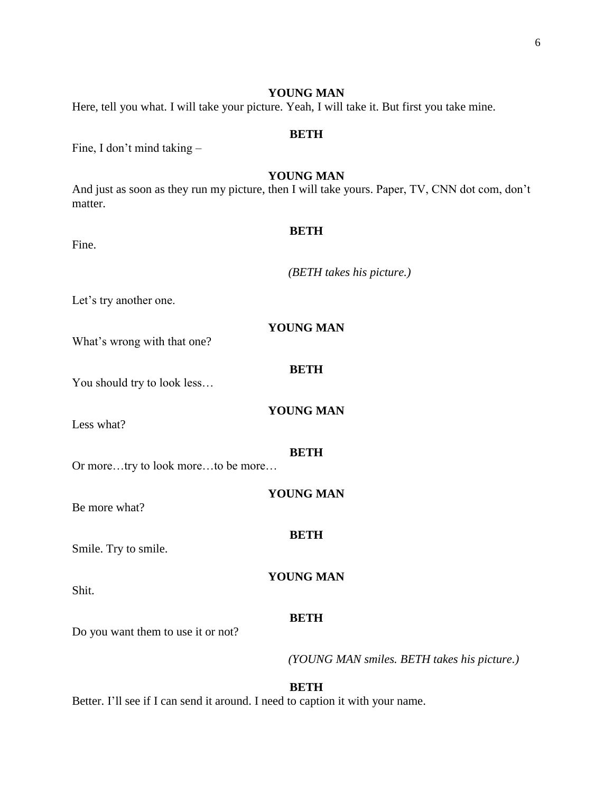Here, tell you what. I will take your picture. Yeah, I will take it. But first you take mine.

## **BETH**

Fine, I don't mind taking –

## **YOUNG MAN**

And just as soon as they run my picture, then I will take yours. Paper, TV, CNN dot com, don't matter.

| Fine.                              | <b>BETH</b>                                 |
|------------------------------------|---------------------------------------------|
|                                    | (BETH takes his picture.)                   |
| Let's try another one.             |                                             |
| What's wrong with that one?        | <b>YOUNG MAN</b>                            |
| You should try to look less        | <b>BETH</b>                                 |
| Less what?                         | <b>YOUNG MAN</b>                            |
| Or moretry to look moreto be more  | <b>BETH</b>                                 |
| Be more what?                      | <b>YOUNG MAN</b>                            |
| Smile. Try to smile.               | <b>BETH</b>                                 |
| Shit.                              | YOUNG MAN                                   |
| Do you want them to use it or not? | <b>BETH</b>                                 |
|                                    | (YOUNG MAN smiles. BETH takes his picture.) |

**BETH** Better. I'll see if I can send it around. I need to caption it with your name.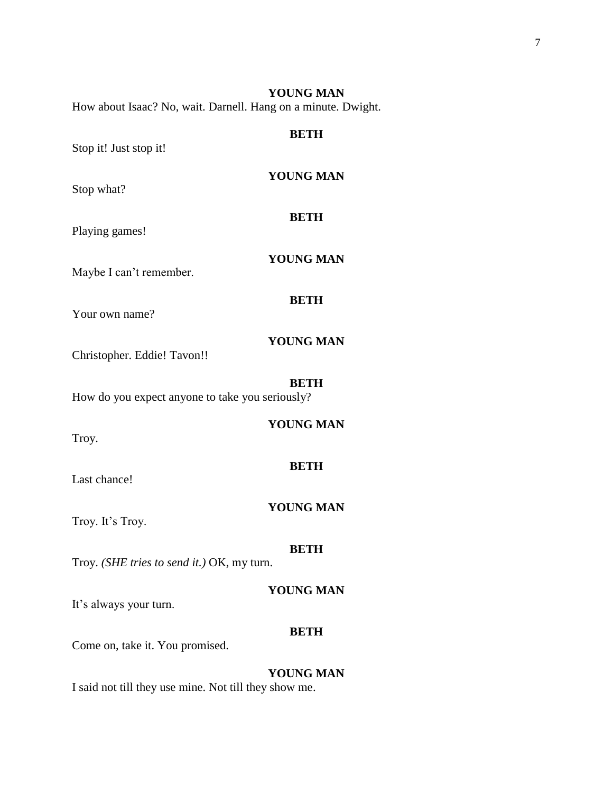**BETH** Stop it! Just stop it! **YOUNG MAN** Stop what? **BETH** Playing games!

How about Isaac? No, wait. Darnell. Hang on a minute. Dwight.

Maybe I can't remember.

Your own name?

# **YOUNG MAN**

**YOUNG MAN**

**BETH**

**YOUNG MAN**

Christopher. Eddie! Tavon!!

#### **BETH**

**YOUNG MAN**

How do you expect anyone to take you seriously?

Troy.

## **BETH**

Last chance!

# **YOUNG MAN**

Troy. It's Troy.

#### **BETH**

Troy. *(SHE tries to send it.)* OK, my turn.

## **YOUNG MAN**

It's always your turn.

#### **BETH**

Come on, take it. You promised.

# **YOUNG MAN**

I said not till they use mine. Not till they show me.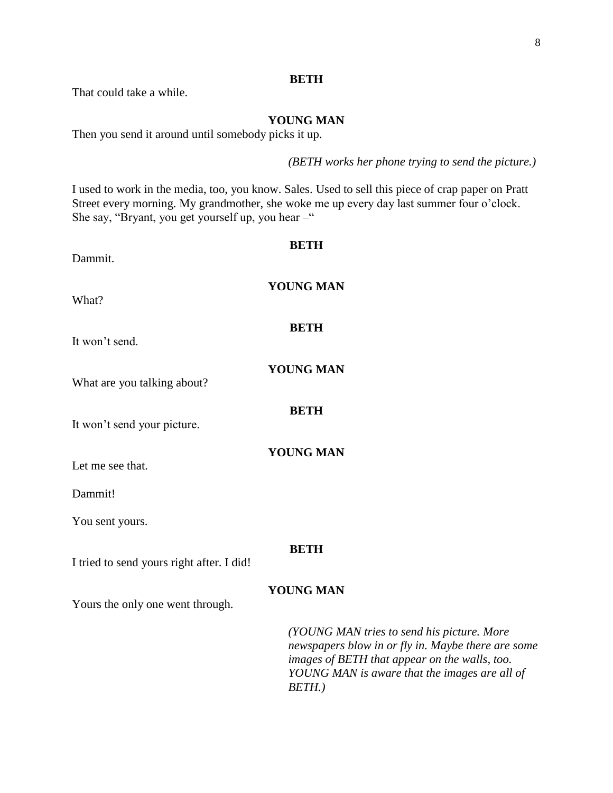# **BETH**

That could take a while.

# **YOUNG MAN**

Then you send it around until somebody picks it up.

*(BETH works her phone trying to send the picture.)* 

I used to work in the media, too, you know. Sales. Used to sell this piece of crap paper on Pratt Street every morning. My grandmother, she woke me up every day last summer four o'clock. She say, "Bryant, you get yourself up, you hear  $-$ "

| Dammit.                                   | <b>BETH</b>                                                                                                                                                                                                  |
|-------------------------------------------|--------------------------------------------------------------------------------------------------------------------------------------------------------------------------------------------------------------|
| What?                                     | <b>YOUNG MAN</b>                                                                                                                                                                                             |
| It won't send.                            | <b>BETH</b>                                                                                                                                                                                                  |
| What are you talking about?               | <b>YOUNG MAN</b>                                                                                                                                                                                             |
| It won't send your picture.               | <b>BETH</b>                                                                                                                                                                                                  |
| Let me see that.                          | <b>YOUNG MAN</b>                                                                                                                                                                                             |
| Dammit!                                   |                                                                                                                                                                                                              |
| You sent yours.                           |                                                                                                                                                                                                              |
| I tried to send yours right after. I did! | <b>BETH</b>                                                                                                                                                                                                  |
| Yours the only one went through.          | <b>YOUNG MAN</b>                                                                                                                                                                                             |
|                                           | (YOUNG MAN tries to send his picture. More<br>newspapers blow in or fly in. Maybe there are some<br>images of BETH that appear on the walls, too.<br>YOUNG MAN is aware that the images are all of<br>BETH.) |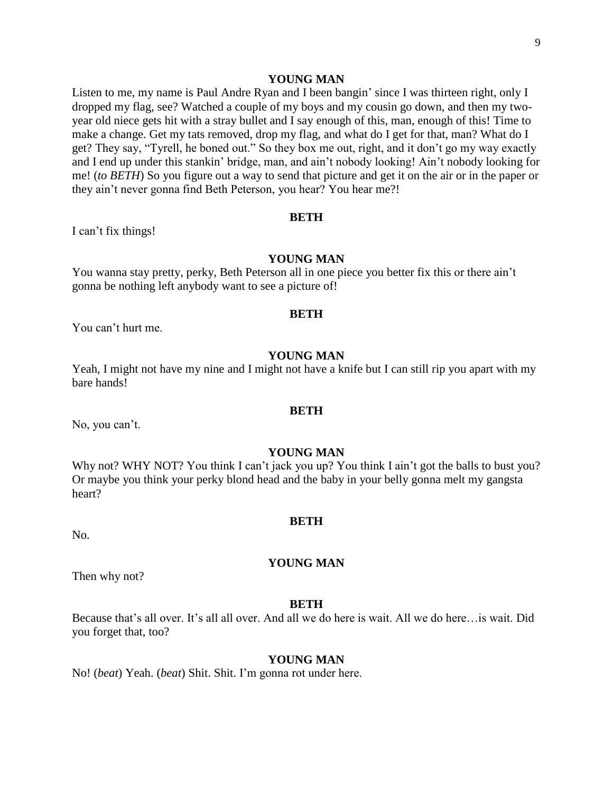Listen to me, my name is Paul Andre Ryan and I been bangin' since I was thirteen right, only I dropped my flag, see? Watched a couple of my boys and my cousin go down, and then my twoyear old niece gets hit with a stray bullet and I say enough of this, man, enough of this! Time to make a change. Get my tats removed, drop my flag, and what do I get for that, man? What do I get? They say, "Tyrell, he boned out." So they box me out, right, and it don't go my way exactly and I end up under this stankin' bridge, man, and ain't nobody looking! Ain't nobody looking for me! (*to BETH*) So you figure out a way to send that picture and get it on the air or in the paper or they ain't never gonna find Beth Peterson, you hear? You hear me?!

#### **BETH**

I can't fix things!

# **YOUNG MAN**

You wanna stay pretty, perky, Beth Peterson all in one piece you better fix this or there ain't gonna be nothing left anybody want to see a picture of!

#### **BETH**

You can't hurt me.

## **YOUNG MAN**

Yeah, I might not have my nine and I might not have a knife but I can still rip you apart with my bare hands!

#### **BETH**

No, you can't.

#### **YOUNG MAN**

Why not? WHY NOT? You think I can't jack you up? You think I ain't got the balls to bust you? Or maybe you think your perky blond head and the baby in your belly gonna melt my gangsta heart?

#### **BETH**

**YOUNG MAN**

No.

Then why not?

#### **BETH**

Because that's all over. It's all all over. And all we do here is wait. All we do here…is wait. Did you forget that, too?

#### **YOUNG MAN**

No! (*beat*) Yeah. (*beat*) Shit. Shit. I'm gonna rot under here.